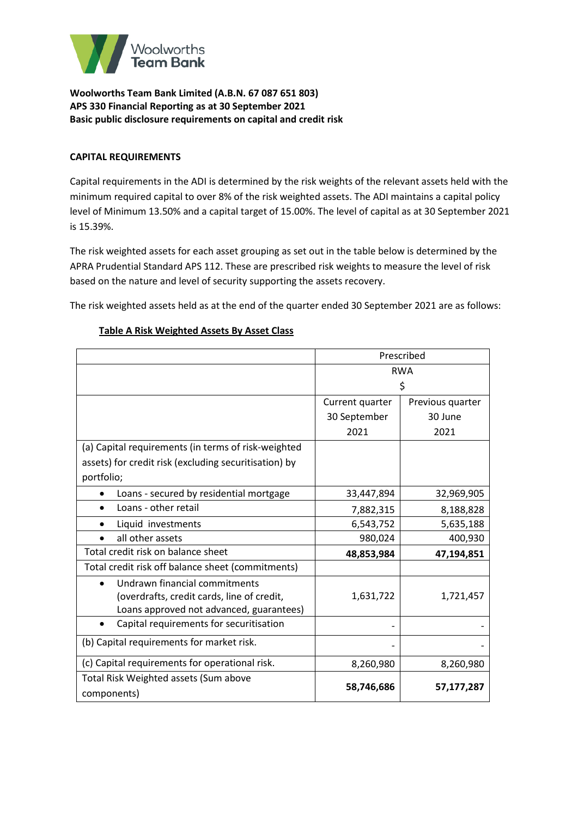

### **CAPITAL REQUIREMENTS**

Capital requirements in the ADI is determined by the risk weights of the relevant assets held with the minimum required capital to over 8% of the risk weighted assets. The ADI maintains a capital policy level of Minimum 13.50% and a capital target of 15.00%. The level of capital as at 30 September 2021 is 15.39%.

The risk weighted assets for each asset grouping as set out in the table below is determined by the APRA Prudential Standard APS 112. These are prescribed risk weights to measure the level of risk based on the nature and level of security supporting the assets recovery.

The risk weighted assets held as at the end of the quarter ended 30 September 2021 are as follows:

|                                                       | Prescribed      |                  |  |
|-------------------------------------------------------|-----------------|------------------|--|
|                                                       | <b>RWA</b>      |                  |  |
|                                                       | \$              |                  |  |
|                                                       | Current quarter | Previous quarter |  |
|                                                       | 30 September    | 30 June          |  |
|                                                       | 2021            | 2021             |  |
| (a) Capital requirements (in terms of risk-weighted   |                 |                  |  |
| assets) for credit risk (excluding securitisation) by |                 |                  |  |
| portfolio;                                            |                 |                  |  |
| Loans - secured by residential mortgage               | 33,447,894      | 32,969,905       |  |
| Loans - other retail                                  | 7,882,315       | 8,188,828        |  |
| Liquid investments                                    | 6,543,752       | 5,635,188        |  |
| all other assets                                      | 980,024         | 400,930          |  |
| Total credit risk on balance sheet                    | 48,853,984      | 47,194,851       |  |
| Total credit risk off balance sheet (commitments)     |                 |                  |  |
| Undrawn financial commitments                         |                 |                  |  |
| (overdrafts, credit cards, line of credit,            | 1,631,722       | 1,721,457        |  |
| Loans approved not advanced, guarantees)              |                 |                  |  |
| Capital requirements for securitisation<br>$\bullet$  |                 |                  |  |
| (b) Capital requirements for market risk.             |                 |                  |  |
| (c) Capital requirements for operational risk.        | 8,260,980       | 8,260,980        |  |
| Total Risk Weighted assets (Sum above                 |                 |                  |  |
| components)                                           | 58,746,686      | 57,177,287       |  |

### **Table A Risk Weighted Assets By Asset Class**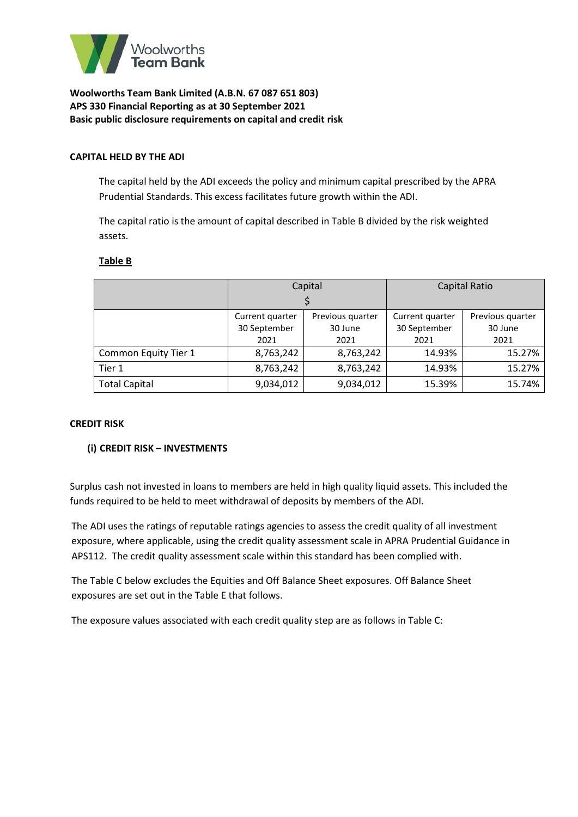

#### **CAPITAL HELD BY THE ADI**

The capital held by the ADI exceeds the policy and minimum capital prescribed by the APRA Prudential Standards. This excess facilitates future growth within the ADI.

The capital ratio is the amount of capital described in Table B divided by the risk weighted assets.

#### **Table B**

|                      | Capital                 |                  | <b>Capital Ratio</b> |                  |
|----------------------|-------------------------|------------------|----------------------|------------------|
|                      |                         |                  |                      |                  |
|                      | Current quarter         | Previous quarter | Current quarter      | Previous quarter |
|                      | 30 September<br>30 June |                  | 30 September         | 30 June          |
|                      | 2021<br>2021            |                  | 2021                 | 2021             |
| Common Equity Tier 1 | 8,763,242               | 8,763,242        | 14.93%               | 15.27%           |
| Tier 1               | 8,763,242               | 8,763,242        | 14.93%               | 15.27%           |
| <b>Total Capital</b> | 9,034,012               | 9,034,012        | 15.39%               | 15.74%           |

#### **CREDIT RISK**

#### **(i) CREDIT RISK – INVESTMENTS**

Surplus cash not invested in loans to members are held in high quality liquid assets. This included the funds required to be held to meet withdrawal of deposits by members of the ADI.

The ADI uses the ratings of reputable ratings agencies to assess the credit quality of all investment exposure, where applicable, using the credit quality assessment scale in APRA Prudential Guidance in APS112. The credit quality assessment scale within this standard has been complied with.

The Table C below excludes the Equities and Off Balance Sheet exposures. Off Balance Sheet exposures are set out in the Table E that follows.

The exposure values associated with each credit quality step are as follows in Table C: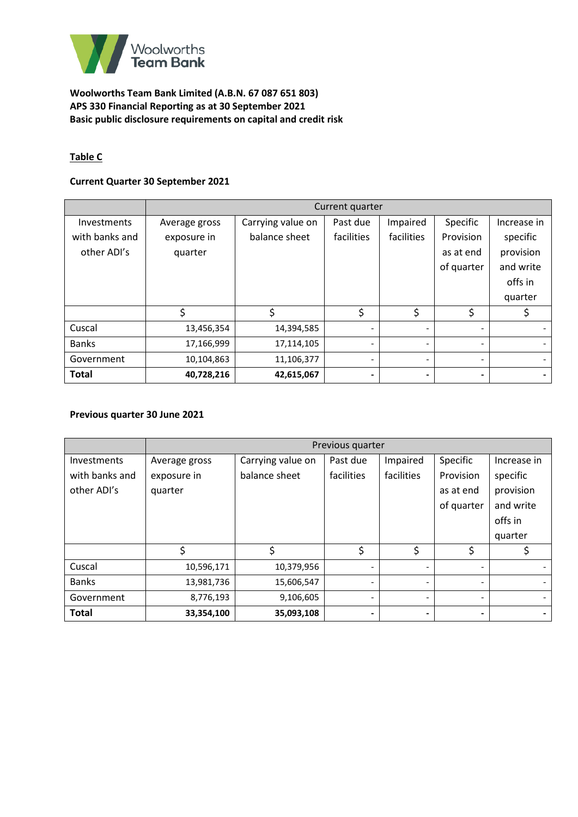

# **Table C**

## **Current Quarter 30 September 2021**

|                | Current quarter |                   |            |            |                          |             |
|----------------|-----------------|-------------------|------------|------------|--------------------------|-------------|
| Investments    | Average gross   | Carrying value on | Past due   | Impaired   | Specific                 | Increase in |
| with banks and | exposure in     | balance sheet     | facilities | facilities | Provision                | specific    |
| other ADI's    | quarter         |                   |            |            | as at end                | provision   |
|                |                 |                   |            |            | of quarter               | and write   |
|                |                 |                   |            |            |                          | offs in     |
|                |                 |                   |            |            |                          | quarter     |
|                | \$              | \$                | \$         | \$         | \$                       |             |
| Cuscal         | 13,456,354      | 14,394,585        |            |            | $\overline{\phantom{0}}$ |             |
| <b>Banks</b>   | 17,166,999      | 17,114,105        |            |            | $\overline{\phantom{a}}$ |             |
| Government     | 10,104,863      | 11,106,377        | -          |            | $\overline{\phantom{a}}$ |             |
| <b>Total</b>   | 40,728,216      | 42,615,067        |            |            | -                        |             |

### **Previous quarter 30 June 2021**

|                    | Previous quarter |                   |                          |            |                          |             |
|--------------------|------------------|-------------------|--------------------------|------------|--------------------------|-------------|
| <b>Investments</b> | Average gross    | Carrying value on | Past due                 | Impaired   | Specific                 | Increase in |
| with banks and     | exposure in      | balance sheet     | facilities               | facilities | Provision                | specific    |
| other ADI's        | quarter          |                   |                          |            | as at end                | provision   |
|                    |                  |                   |                          |            | of quarter               | and write   |
|                    |                  |                   |                          |            |                          | offs in     |
|                    |                  |                   |                          |            |                          | quarter     |
|                    | \$               | \$                | \$                       | \$         | \$                       |             |
| Cuscal             | 10,596,171       | 10,379,956        | $\overline{\phantom{a}}$ |            | $\overline{\phantom{a}}$ |             |
| <b>Banks</b>       | 13,981,736       | 15,606,547        |                          |            | $\overline{\phantom{a}}$ |             |
| Government         | 8,776,193        | 9,106,605         |                          |            | $\overline{\phantom{a}}$ |             |
| <b>Total</b>       | 33,354,100       | 35,093,108        | ٠                        |            | $\blacksquare$           |             |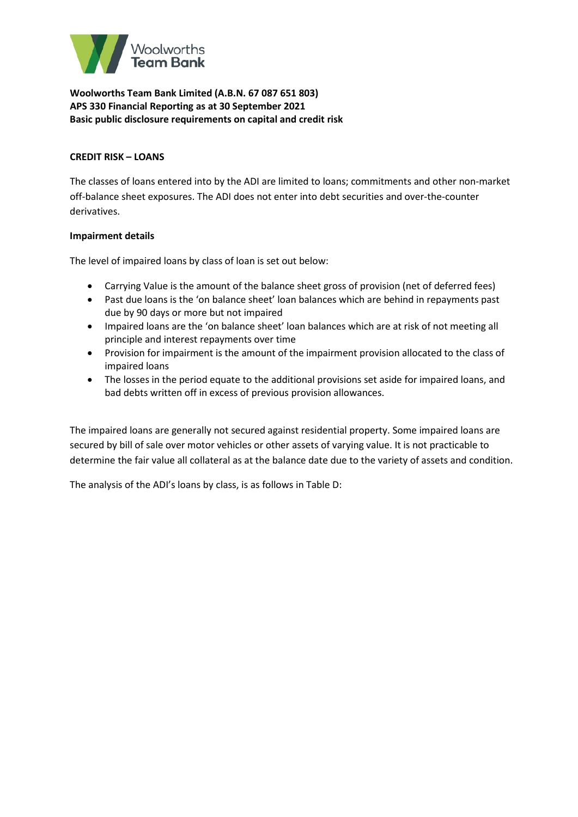

### **CREDIT RISK – LOANS**

The classes of loans entered into by the ADI are limited to loans; commitments and other non-market off-balance sheet exposures. The ADI does not enter into debt securities and over-the-counter derivatives.

### **Impairment details**

The level of impaired loans by class of loan is set out below:

- Carrying Value is the amount of the balance sheet gross of provision (net of deferred fees)
- Past due loans is the 'on balance sheet' loan balances which are behind in repayments past due by 90 days or more but not impaired
- Impaired loans are the 'on balance sheet' loan balances which are at risk of not meeting all principle and interest repayments over time
- Provision for impairment is the amount of the impairment provision allocated to the class of impaired loans
- The losses in the period equate to the additional provisions set aside for impaired loans, and bad debts written off in excess of previous provision allowances.

The impaired loans are generally not secured against residential property. Some impaired loans are secured by bill of sale over motor vehicles or other assets of varying value. It is not practicable to determine the fair value all collateral as at the balance date due to the variety of assets and condition.

The analysis of the ADI's loans by class, is as follows in Table D: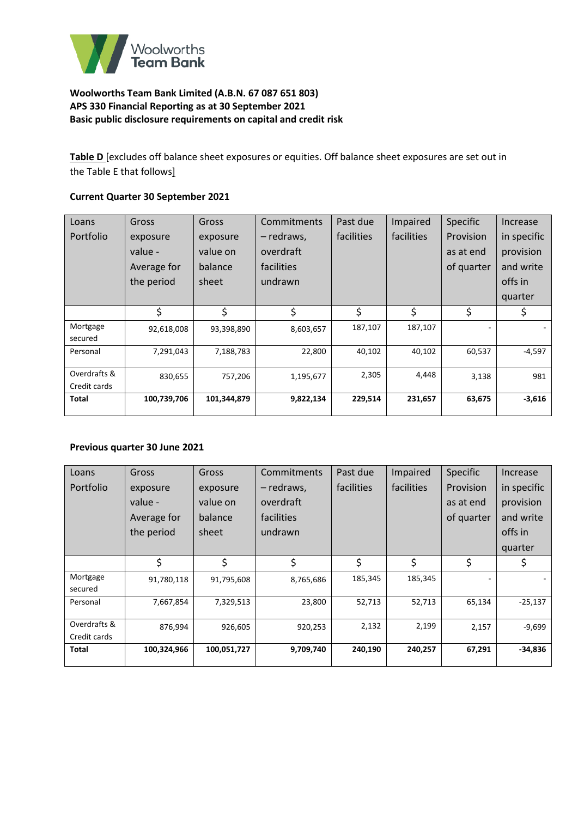

**Table D** [excludes off balance sheet exposures or equities. Off balance sheet exposures are set out in the Table E that follows]

## **Current Quarter 30 September 2021**

| Loans        | Gross       | Gross       | Commitments | Past due   | Impaired   | <b>Specific</b> | Increase    |
|--------------|-------------|-------------|-------------|------------|------------|-----------------|-------------|
| Portfolio    | exposure    | exposure    | - redraws,  | facilities | facilities | Provision       | in specific |
|              | value -     | value on    | overdraft   |            |            | as at end       | provision   |
|              | Average for | balance     | facilities  |            |            | of quarter      | and write   |
|              | the period  | sheet       | undrawn     |            |            |                 | offs in     |
|              |             |             |             |            |            |                 | quarter     |
|              | \$          | \$          | \$          | \$         | \$         | \$              | \$          |
| Mortgage     | 92,618,008  | 93,398,890  | 8,603,657   | 187,107    | 187,107    |                 |             |
| secured      |             |             |             |            |            |                 |             |
| Personal     | 7,291,043   | 7,188,783   | 22,800      | 40,102     | 40,102     | 60,537          | -4,597      |
|              |             |             |             |            |            |                 |             |
| Overdrafts & | 830,655     | 757,206     | 1,195,677   | 2,305      | 4,448      | 3,138           | 981         |
| Credit cards |             |             |             |            |            |                 |             |
| Total        | 100,739,706 | 101,344,879 | 9,822,134   | 229,514    | 231,657    | 63,675          | $-3,616$    |
|              |             |             |             |            |            |                 |             |

#### **Previous quarter 30 June 2021**

| Loans                        | Gross       | Gross       | Commitments | Past due   | Impaired   | <b>Specific</b> | Increase    |
|------------------------------|-------------|-------------|-------------|------------|------------|-----------------|-------------|
| Portfolio                    | exposure    | exposure    | - redraws,  | facilities | facilities | Provision       | in specific |
|                              | value -     | value on    | overdraft   |            |            | as at end       | provision   |
|                              | Average for | balance     | facilities  |            |            | of quarter      | and write   |
|                              | the period  | sheet       | undrawn     |            |            |                 | offs in     |
|                              |             |             |             |            |            |                 | quarter     |
|                              | \$          | \$          | \$          | \$         | \$         | \$              | \$          |
| Mortgage<br>secured          | 91,780,118  | 91,795,608  | 8,765,686   | 185,345    | 185,345    |                 |             |
| Personal                     | 7,667,854   | 7,329,513   | 23,800      | 52,713     | 52,713     | 65,134          | $-25,137$   |
| Overdrafts &<br>Credit cards | 876,994     | 926,605     | 920,253     | 2,132      | 2,199      | 2,157           | $-9,699$    |
| Total                        | 100,324,966 | 100,051,727 | 9,709,740   | 240,190    | 240,257    | 67,291          | $-34,836$   |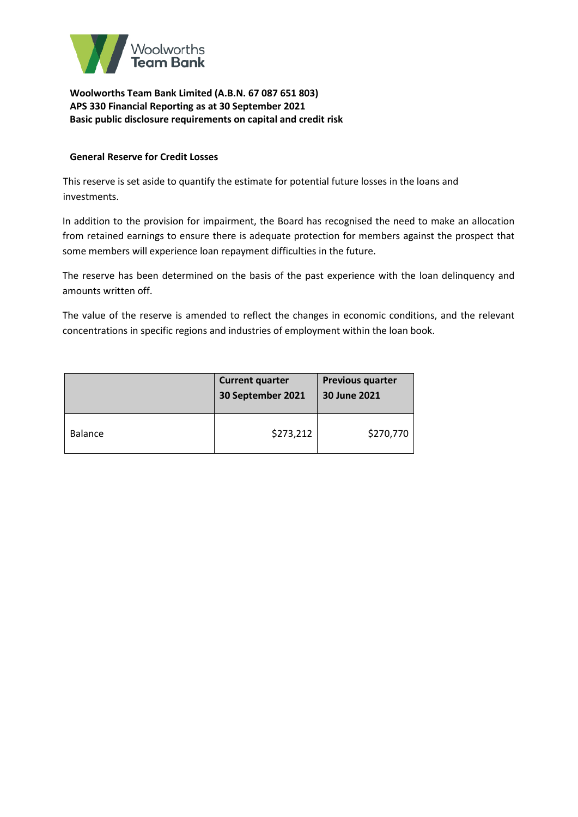

### **General Reserve for Credit Losses**

This reserve is set aside to quantify the estimate for potential future losses in the loans and investments.

In addition to the provision for impairment, the Board has recognised the need to make an allocation from retained earnings to ensure there is adequate protection for members against the prospect that some members will experience loan repayment difficulties in the future.

The reserve has been determined on the basis of the past experience with the loan delinquency and amounts written off.

The value of the reserve is amended to reflect the changes in economic conditions, and the relevant concentrations in specific regions and industries of employment within the loan book.

|                | <b>Current quarter</b><br>30 September 2021 | <b>Previous quarter</b><br>30 June 2021 |
|----------------|---------------------------------------------|-----------------------------------------|
| <b>Balance</b> | \$273,212                                   | \$270,770                               |